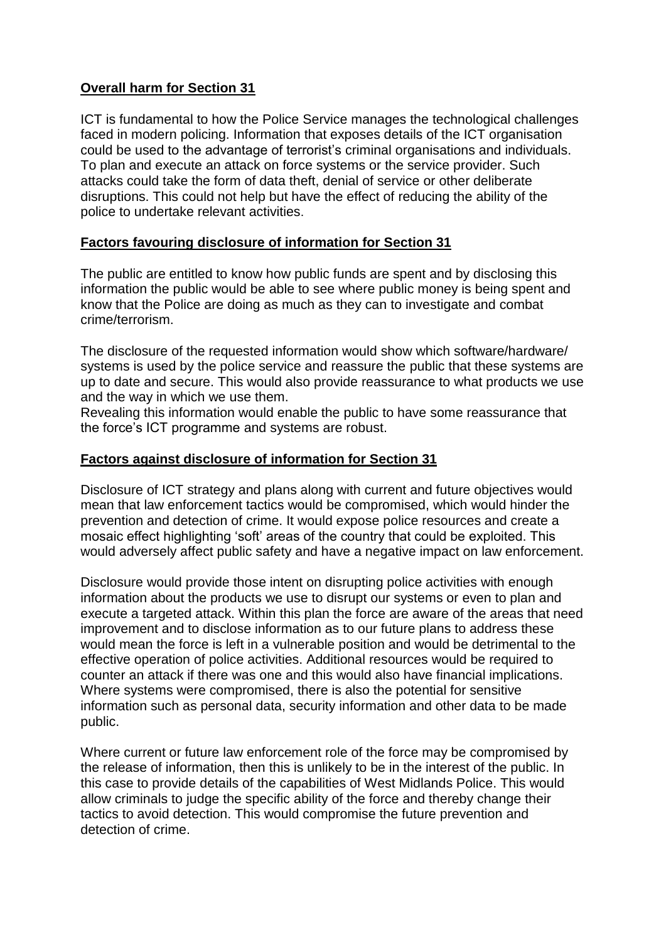## **Overall harm for Section 31**

ICT is fundamental to how the Police Service manages the technological challenges faced in modern policing. Information that exposes details of the ICT organisation could be used to the advantage of terrorist's criminal organisations and individuals. To plan and execute an attack on force systems or the service provider. Such attacks could take the form of data theft, denial of service or other deliberate disruptions. This could not help but have the effect of reducing the ability of the police to undertake relevant activities.

## **Factors favouring disclosure of information for Section 31**

The public are entitled to know how public funds are spent and by disclosing this information the public would be able to see where public money is being spent and know that the Police are doing as much as they can to investigate and combat crime/terrorism.

The disclosure of the requested information would show which software/hardware/ systems is used by the police service and reassure the public that these systems are up to date and secure. This would also provide reassurance to what products we use and the way in which we use them.

Revealing this information would enable the public to have some reassurance that the force's ICT programme and systems are robust.

## **Factors against disclosure of information for Section 31**

Disclosure of ICT strategy and plans along with current and future objectives would mean that law enforcement tactics would be compromised, which would hinder the prevention and detection of crime. It would expose police resources and create a mosaic effect highlighting 'soft' areas of the country that could be exploited. This would adversely affect public safety and have a negative impact on law enforcement.

Disclosure would provide those intent on disrupting police activities with enough information about the products we use to disrupt our systems or even to plan and execute a targeted attack. Within this plan the force are aware of the areas that need improvement and to disclose information as to our future plans to address these would mean the force is left in a vulnerable position and would be detrimental to the effective operation of police activities. Additional resources would be required to counter an attack if there was one and this would also have financial implications. Where systems were compromised, there is also the potential for sensitive information such as personal data, security information and other data to be made public.

Where current or future law enforcement role of the force may be compromised by the release of information, then this is unlikely to be in the interest of the public. In this case to provide details of the capabilities of West Midlands Police. This would allow criminals to judge the specific ability of the force and thereby change their tactics to avoid detection. This would compromise the future prevention and detection of crime.